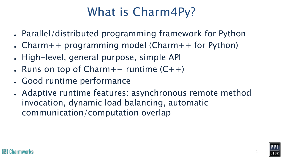# What is Charm4Py?

- Parallel/distributed programming framework for Python
- Charm++ programming model (Charm++ for Python)
- . High-level, general purpose, simple API
- Runs on top of  $Charm++$  runtime  $(C++)$
- Good runtime performance
- Adaptive runtime features: asynchronous remote method invocation, dynamic load balancing, automatic communication/computation overlap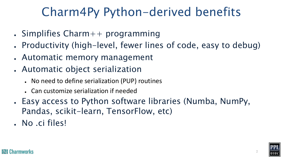# Charm4Py Python-derived benefits

- $\bullet$  Simplifies Charm++ programming
- Productivity (high-level, fewer lines of code, easy to debug)
- Automatic memory management
- Automatic object serialization
	- No need to define serialization (PUP) routines
	- Can customize serialization if needed
- Easy access to Python software libraries (Numba, NumPy, Pandas, scikit-learn, TensorFlow, etc)
- . No .ci files!

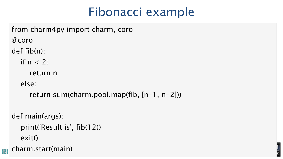## Fibonacci example

charm.start(main) and the set of the set of the set of the set of the set of the set of the set of the set of the set of the set of the set of the set of the set of the set of the set of the set of the set of the set of th from charm4py import charm, coro @coro def fib(n): if  $n < 2$ : return n else: return sum(charm.pool.map(fib, [n-1, n-2])) def main(args): print('Result is', fib(12)) exit()

 $\mathbf{h}$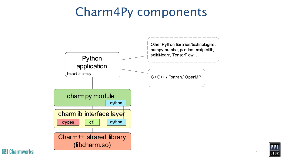### Charm4Py components





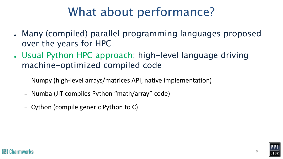# What about performance?

- Many (compiled) parallel programming languages proposed over the years for HPC
- Usual Python HPC approach: high-level language driving machine-optimized compiled code
	- Numpy (high-level arrays/matrices API, native implementation)
	- Numba (JIT compiles Python "math/array" code)
	- Cython (compile generic Python to C)

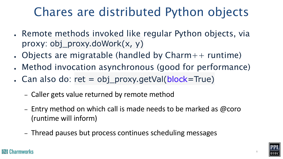# Chares are distributed Python objects

- Remote methods invoked like regular Python objects, via proxy: obj\_proxy.doWork(x, y)
- Objects are migratable (handled by  $Charm++$  runtime)
- Method invocation asynchronous (good for performance)
- Can also do: ret =  $obj\_proxy.getVal(block=True)$ 
	- Caller gets value returned by remote method
	- Entry method on which call is made needs to be marked as @coro (runtime will inform)
	- Thread pauses but process continues scheduling messages

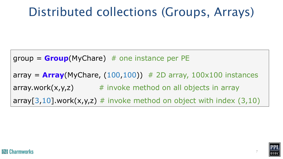## Distributed collections (Groups, Arrays)

group = **Group**(MyChare) # one instance per PE  $array =$  **Array**(MyChare,  $(100,100)$ ) # 2D array,  $100x100$  instances array.work $(x,y,z)$  # invoke method on all objects in array array[3,10].work(x,y,z)  $#$  invoke method on object with index (3,10)

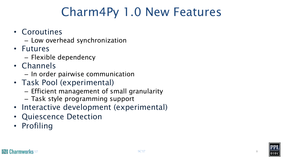## Charm4Py 1.0 New Features

- Coroutines
	- Low overhead synchronization
- Futures
	- Flexible dependency
- Channels
	- In order pairwise communication
- Task Pool (experimental)
	- Efficient management of small granularity
	- Task style programming support
- Interactive development (experimental)
- Quiescence Detection
- Profiling

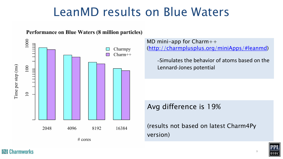### LeanMD results on Blu

#### Performance on Blue Waters (8 million particles)



**IZI** Charmworks